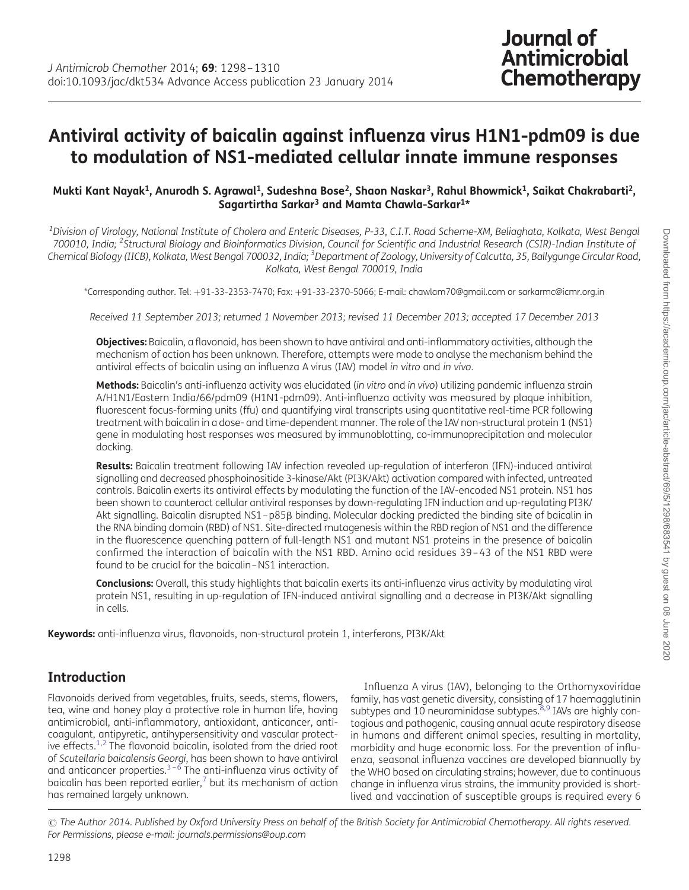# Antiviral activity of baicalin against influenza virus H1N1-pdm09 is due to modulation of NS1-mediated cellular innate immune responses

#### Mukti Kant Nayak<sup>1</sup>, Anurodh S. Agrawal<sup>1</sup>, Sudeshna Bose<sup>2</sup>, Shaon Naskar<sup>3</sup>, Rahul Bhowmick<sup>1</sup>, Saikat Chakrabarti<sup>2</sup>, Sagartirtha Sarkar<sup>3</sup> and Mamta Chawla-Sarkar<sup>1\*</sup>

 $^{\rm 1}$ Division of Virology, National Institute of Cholera and Enteric Diseases, P-33, C.I.T. Road Scheme-XM, Beliaghata, Kolkata, West Bengal 700010, India; <sup>2</sup>Structural Biology and Bioinformatics Division, Council for Scientific and Industrial Research (CSIR)-Indian Institute of Chemical Biology (IICB), Kolkata, West Bengal 700032, India; <sup>3</sup>Department of Zoology, University of Calcutta, 35, Ballygunge Circular Road, Kolkata, West Bengal 700019, India

\*Corresponding author. Tel: +91-33-2353-7470; Fax: +91-33-2370-5066; E-mail: chawlam70@gmail.com or sarkarmc@icmr.org.in

Received 11 September 2013; returned 1 November 2013; revised 11 December 2013; accepted 17 December 2013

Objectives: Baicalin, a flavonoid, has been shown to have antiviral and anti-inflammatory activities, although the mechanism of action has been unknown. Therefore, attempts were made to analyse the mechanism behind the antiviral effects of baicalin using an influenza A virus (IAV) model in vitro and in vivo.

Methods: Baicalin's anti-influenza activity was elucidated (in vitro and in vivo) utilizing pandemic influenza strain A/H1N1/Eastern India/66/pdm09 (H1N1-pdm09). Anti-influenza activity was measured by plaque inhibition, fluorescent focus-forming units (ffu) and quantifying viral transcripts using quantitative real-time PCR following treatment with baicalin in a dose- and time-dependent manner. The role of the IAV non-structural protein 1 (NS1) gene in modulating host responses was measured by immunoblotting, co-immunoprecipitation and molecular docking.

Results: Baicalin treatment following IAV infection revealed up-regulation of interferon (IFN)-induced antiviral signalling and decreased phosphoinositide 3-kinase/Akt (PI3K/Akt) activation compared with infected, untreated controls. Baicalin exerts its antiviral effects by modulating the function of the IAV-encoded NS1 protein. NS1 has been shown to counteract cellular antiviral responses by down-regulating IFN induction and up-regulating PI3K/ Akt signalling. Baicalin disrupted NS1-p85B binding. Molecular docking predicted the binding site of baicalin in the RNA binding domain (RBD) of NS1. Site-directed mutagenesis within the RBD region of NS1 and the difference in the fluorescence quenching pattern of full-length NS1 and mutant NS1 proteins in the presence of baicalin confirmed the interaction of baicalin with the NS1 RBD. Amino acid residues 39 – 43 of the NS1 RBD were found to be crucial for the baicalin –NS1 interaction.

Conclusions: Overall, this study highlights that baicalin exerts its anti-influenza virus activity by modulating viral protein NS1, resulting in up-regulation of IFN-induced antiviral signalling and a decrease in PI3K/Akt signalling in cells.

Keywords: anti-influenza virus, flavonoids, non-structural protein 1, interferons, PI3K/Akt

# Introduction

Flavonoids derived from vegetables, fruits, seeds, stems, flowers, tea, wine and honey play a protective role in human life, having antimicrobial, anti-inflammatory, antioxidant, anticancer, anticoagulant, antipyretic, antihypersensitivity and vascular protect-ive effects.<sup>[1,2](#page-10-0)</sup> The flavonoid baicalin, isolated from the dried root of Scutellaria baicalensis Georgi, has been shown to have antiviral and anticancer properties.<sup>[3](#page-10-0)–[6](#page-10-0)</sup> The anti-influenza virus activity of baicalin has been reported earlier, $<sup>7</sup>$  $<sup>7</sup>$  $<sup>7</sup>$  but its mechanism of action</sup> has remained largely unknown.

Influenza A virus (IAV), belonging to the Orthomyxoviridae family, has vast genetic diversity, consisting of 17 haemagglutinin subtypes and 10 neuraminidase subtypes. $8,9$  IAVs are highly contagious and pathogenic, causing annual acute respiratory disease in humans and different animal species, resulting in mortality, morbidity and huge economic loss. For the prevention of influenza, seasonal influenza vaccines are developed biannually by the WHO based on circulating strains; however, due to continuous change in influenza virus strains, the immunity provided is shortlived and vaccination of susceptible groups is required every 6

<sup>©</sup> The Author 2014. Published by Oxford University Press on behalf of the British Society for Antimicrobial Chemotherapy. All rights reserved. For Permissions, please e-mail: journals.permissions@oup.com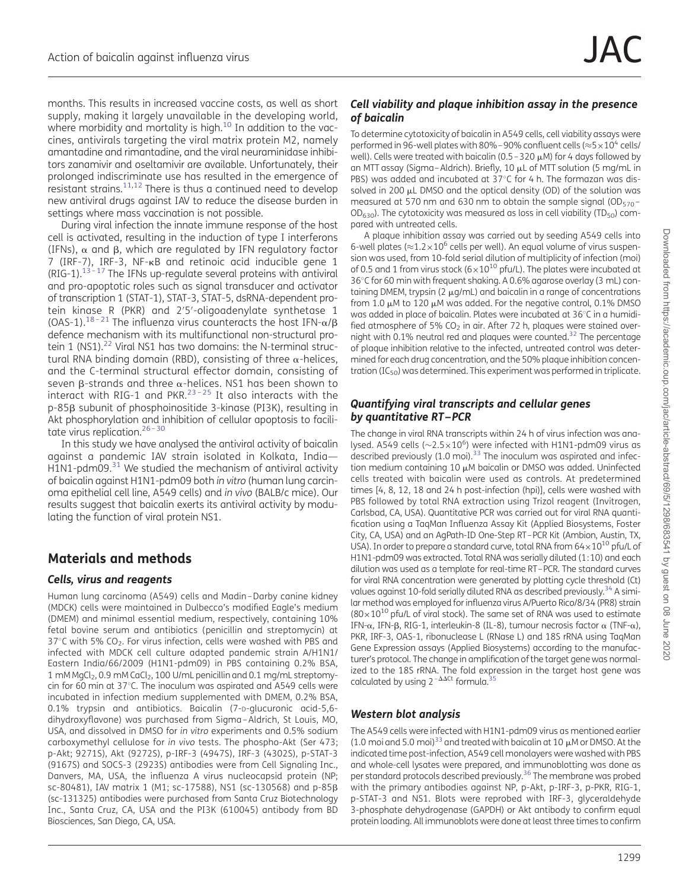months. This results in increased vaccine costs, as well as short supply, making it largely unavailable in the developing world, where morbidity and mortality is high.<sup>[10](#page-10-0)</sup> In addition to the vaccines, antivirals targeting the viral matrix protein M2, namely amantadine and rimantadine, and the viral neuraminidase inhibitors zanamivir and oseltamivir are available. Unfortunately, their prolonged indiscriminate use has resulted in the emergence of resistant strains.<sup>[11](#page-10-0),[12](#page-10-0)</sup> There is thus a continued need to develop new antiviral drugs against IAV to reduce the disease burden in settings where mass vaccination is not possible.

During viral infection the innate immune response of the host cell is activated, resulting in the induction of type I interferons (IFNs),  $\alpha$  and  $\beta$ , which are regulated by IFN regulatory factor 7 (IRF-7), IRF-3, NF-kB and retinoic acid inducible gene 1  $(RIG-1).$ <sup>[13](#page-10-0)–[17](#page-10-0)</sup> The IFNs up-regulate several proteins with antiviral and pro-apoptotic roles such as signal transducer and activator of transcription 1 (STAT-1), STAT-3, STAT-5, dsRNA-dependent protein kinase R (PKR) and 2′5′-oligoadenylate synthetase 1 (OAS-1).<sup>[18](#page-10-0)-[21](#page-11-0)</sup> The influenza virus counteracts the host IFN- $\alpha/\beta$ defence mechanism with its multifunctional non-structural pro-tein 1 (NS1).<sup>[22](#page-11-0)</sup> Viral NS1 has two domains: the N-terminal structural RNA binding domain (RBD), consisting of three  $\alpha$ -helices, and the C-terminal structural effector domain, consisting of seven  $\beta$ -strands and three  $\alpha$ -helices. NS1 has been shown to interact with RIG-1 and PKR. $23 - 25$  $23 - 25$  $23 - 25$  It also interacts with the p-85 $\beta$  subunit of phosphoinositide 3-kinase (PI3K), resulting in Akt phosphorylation and inhibition of cellular apoptosis to facili-tate virus replication.<sup>[26](#page-11-0)-[30](#page-11-0)</sup>

In this study we have analysed the antiviral activity of baicalin against a pandemic IAV strain isolated in Kolkata, India—  $H_1$ N1-pdm09.<sup>[31](#page-11-0)</sup> We studied the mechanism of antiviral activity of baicalin against H1N1-pdm09 both in vitro (human lung carcinoma epithelial cell line, A549 cells) and in vivo (BALB/c mice). Our results suggest that baicalin exerts its antiviral activity by modulating the function of viral protein NS1.

# Materials and methods

#### Cells, virus and reagents

Human lung carcinoma (A549) cells and Madin –Darby canine kidney (MDCK) cells were maintained in Dulbecco's modified Eagle's medium (DMEM) and minimal essential medium, respectively, containing 10% fetal bovine serum and antibiotics (penicillin and streptomycin) at 37 $\degree$ C with 5% CO<sub>2</sub>. For virus infection, cells were washed with PBS and infected with MDCK cell culture adapted pandemic strain A/H1N1/ Eastern India/66/2009 (H1N1-pdm09) in PBS containing 0.2% BSA, 1 mM MgCl<sub>2</sub>, 0.9 mM CaCl<sub>2</sub>, 100 U/mL penicillin and 0.1 mg/mL streptomycin for 60 min at 37°C. The inoculum was aspirated and A549 cells were incubated in infection medium supplemented with DMEM, 0.2% BSA, 0.1% trypsin and antibiotics. Baicalin (7-D-glucuronic acid-5,6 dihydroxyflavone) was purchased from Sigma –Aldrich, St Louis, MO, USA, and dissolved in DMSO for in vitro experiments and 0.5% sodium carboxymethyl cellulose for in vivo tests. The phospho-Akt (Ser 473; p-Akt; 9271S), Akt (9272S), p-IRF-3 (4947S), IRF-3 (4302S), p-STAT-3 (9167S) and SOCS-3 (2923S) antibodies were from Cell Signaling Inc., Danvers, MA, USA, the influenza A virus nucleocapsid protein (NP; sc-80481), IAV matrix 1 (M1; sc-17588), NS1 (sc-130568) and p-85b (sc-131325) antibodies were purchased from Santa Cruz Biotechnology Inc., Santa Cruz, CA, USA and the PI3K (610045) antibody from BD Biosciences, San Diego, CA, USA.

### Cell viability and plaque inhibition assay in the presence of baicalin

To determine cytotoxicity of baicalin in A549 cells, cell viability assays were performed in 96-well plates with 80%–90% confluent cells ( $\approx$ 5 $\times$ 10<sup>4</sup> cells/ well). Cells were treated with baicalin (0.5 – 320  $\mu$ M) for 4 days followed by an MTT assay (Sigma-Aldrich). Briefly, 10 µL of MTT solution (5 mg/mL in PBS) was added and incubated at  $37^{\circ}$ C for 4 h. The formazan was dissolved in 200  $\mu$ L DMSO and the optical density (OD) of the solution was measured at 570 nm and 630 nm to obtain the sample signal (OD $_{570}$  –  $OD_{630}$ ). The cytotoxicity was measured as loss in cell viability (TD<sub>50</sub>) compared with untreated cells.

A plaque inhibition assay was carried out by seeding A549 cells into 6-well plates ( $\approx$ 1.2 $\times$ 10<sup>6</sup> cells per well). An equal volume of virus suspension was used, from 10-fold serial dilution of multiplicity of infection (moi) of 0.5 and 1 from virus stock ( $6\times10^{10}$  pfu/L). The plates were incubated at 36°C for 60 min with frequent shaking. A 0.6% agarose overlay (3 mL) containing DMEM, trypsin ( $2 \mu$ g/mL) and baicalin in a range of concentrations from  $1.0 \mu$ M to  $120 \mu$ M was added. For the negative control, 0.1% DMSO was added in place of baicalin. Plates were incubated at 36°C in a humidified atmosphere of 5%  $CO<sub>2</sub>$  in air. After 72 h, plaques were stained overnight with 0.1% neutral red and plaques were counted[.32](#page-11-0) The percentage of plaque inhibition relative to the infected, untreated control was determined for each drug concentration, and the 50% plaque inhibition concentration ( $IC_{50}$ ) was determined. This experiment was performed in triplicate.

#### Quantifying viral transcripts and cellular genes by quantitative RT–PCR

The change in viral RNA transcripts within 24 h of virus infection was analysed. A549 cells ( $\sim$ 2.5 $\times$ 10<sup>6</sup>) were infected with H1N1-pdm09 virus as described previously  $(1.0 \text{ mol})^{33}$  $(1.0 \text{ mol})^{33}$  $(1.0 \text{ mol})^{33}$  The inoculum was aspirated and infection medium containing 10 µM baicalin or DMSO was added. Uninfected cells treated with baicalin were used as controls. At predetermined times [4, 8, 12, 18 and 24 h post-infection (hpi)], cells were washed with PBS followed by total RNA extraction using Trizol reagent (Invitrogen, Carlsbad, CA, USA). Quantitative PCR was carried out for viral RNA quantification using a TaqMan Influenza Assay Kit (Applied Biosystems, Foster City, CA, USA) and an AgPath-ID One-Step RT–PCR Kit (Ambion, Austin, TX, USA). In order to prepare a standard curve, total RNA from  $64\times10^{10}$  pfu/L of H1N1-pdm09 was extracted. Total RNA was serially diluted (1:10) and each dilution was used as a template for real-time RT–PCR. The standard curves for viral RNA concentration were generated by plotting cycle threshold (Ct) values against 10-fold serially diluted RNA as described previously.<sup>[34](#page-11-0)</sup> A similar method was employed for influenza virus A/Puerto Rico/8/34 (PR8) strain  $(80\times10^{10}$  pfu/L of viral stock). The same set of RNA was used to estimate IFN- $\alpha$ , IFN- $\beta$ , RIG-1, interleukin-8 (IL-8), tumour necrosis factor  $\alpha$  (TNF- $\alpha$ ), PKR, IRF-3, OAS-1, ribonuclease L (RNase L) and 18S rRNA using TaqMan Gene Expression assays (Applied Biosystems) according to the manufacturer's protocol. The change in amplification of the target gene was normalized to the 18S rRNA. The fold expression in the target host gene was calculated by using  $2^{-\Delta\Delta Ct}$  formula.<sup>[35](#page-11-0)</sup>

### Western blot analysis

The A549 cells were infected with H1N1-pdm09 virus as mentioned earlier (1.0 moi and 5.0 moi)<sup>[33](#page-11-0)</sup> and treated with baicalin at 10  $\mu$ M or DMSO. At the indicated time post-infection, A549 cell monolayers were washed with PBS and whole-cell lysates were prepared, and immunoblotting was done as per standard protocols described previously.<sup>36</sup> The membrane was probed with the primary antibodies against NP, p-Akt, p-IRF-3, p-PKR, RIG-1, p-STAT-3 and NS1. Blots were reprobed with IRF-3, glyceraldehyde 3-phosphate dehydrogenase (GAPDH) or Akt antibody to confirm equal protein loading. All immunoblots were done at least three times to confirm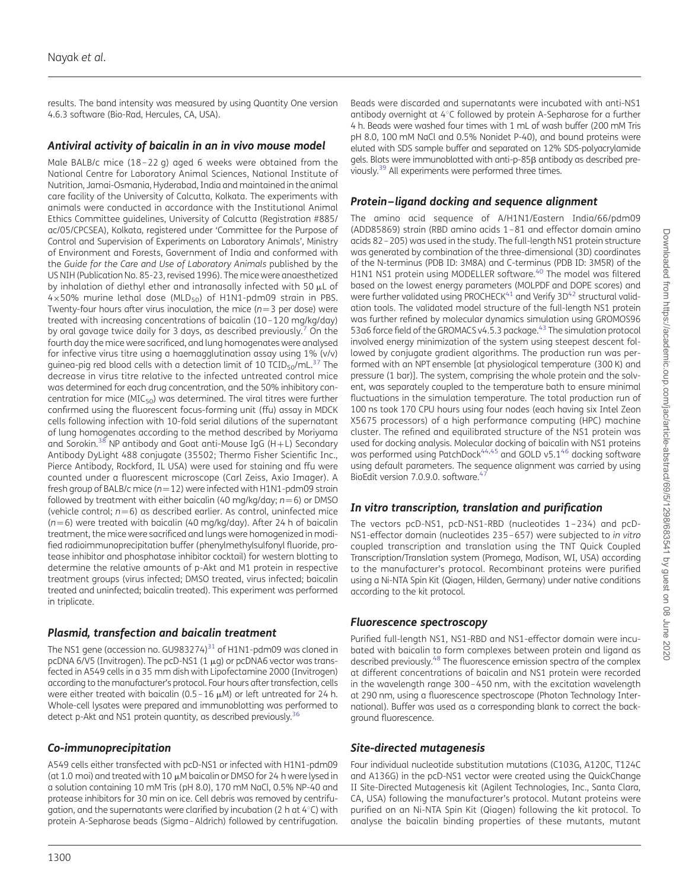results. The band intensity was measured by using Quantity One version 4.6.3 software (Bio-Rad, Hercules, CA, USA).

#### Antiviral activity of baicalin in an in vivo mouse model

Male BALB/c mice (18 – 22 g) aged 6 weeks were obtained from the National Centre for Laboratory Animal Sciences, National Institute of Nutrition, Jamai-Osmania, Hyderabad, India and maintained in the animal care facility of the University of Calcutta, Kolkata. The experiments with animals were conducted in accordance with the Institutional Animal Ethics Committee guidelines, University of Calcutta (Registration #885/ ac/05/CPCSEA), Kolkata, registered under 'Committee for the Purpose of Control and Supervision of Experiments on Laboratory Animals', Ministry of Environment and Forests, Government of India and conformed with the Guide for the Care and Use of Laboratory Animals published by the US NIH (Publication No. 85-23, revised 1996). The mice were anaesthetized by inhalation of diethyl ether and intranasally infected with 50 µL of  $4\times50\%$  murine lethal dose (MLD<sub>50</sub>) of H1N1-pdm09 strain in PBS. Twenty-four hours after virus inoculation, the mice ( $n=3$  per dose) were treated with increasing concentrations of baicalin (10 –120 mg/kg/day) by oral gavage twice daily for 3 days, as described previously.<sup>[7](#page-10-0)</sup> On the fourth day the mice were sacrificed, and lung homogenates were analysed for infective virus titre using a haemagglutination assay using 1% (v/v) quinea-pig red blood cells with a detection limit of 10 TCID $_{50}$ /mL $^{37}$  $^{37}$  $^{37}$  The decrease in virus titre relative to the infected untreated control mice was determined for each drug concentration, and the 50% inhibitory concentration for mice ( $MIC<sub>50</sub>$ ) was determined. The viral titres were further confirmed using the fluorescent focus-forming unit (ffu) assay in MDCK cells following infection with 10-fold serial dilutions of the supernatant of lung homogenates according to the method described by Moriyama and Sorokin.<sup>[38](#page-11-0)</sup> NP antibody and Goat anti-Mouse IgG (H+L) Secondary Antibody DyLight 488 conjugate (35502; Thermo Fisher Scientific Inc., Pierce Antibody, Rockford, IL USA) were used for staining and ffu were counted under a fluorescent microscope (Carl Zeiss, Axio Imager). A fresh group of BALB/c mice ( $n=12$ ) were infected with H1N1-pdm09 strain followed by treatment with either baicalin (40 mg/kg/day;  $n=6$ ) or DMSO (vehicle control;  $n=6$ ) as described earlier. As control, uninfected mice ( $n=6$ ) were treated with baicalin (40 mg/kg/day). After 24 h of baicalin treatment, the mice were sacrificed and lungs were homogenized in modified radioimmunoprecipitation buffer (phenylmethylsulfonyl fluoride, protease inhibitor and phosphatase inhibitor cocktail) for western blotting to determine the relative amounts of p-Akt and M1 protein in respective treatment groups (virus infected; DMSO treated, virus infected; baicalin treated and uninfected; baicalin treated). This experiment was performed in triplicate.

### Plasmid, transfection and baicalin treatment

The NS1 gene (accession no. GU983274) $31$  of H1N1-pdm09 was cloned in pcDNA 6/V5 (Invitrogen). The pcD-NS1  $(1 \mu g)$  or pcDNA6 vector was transfected in A549 cells in a 35 mm dish with Lipofectamine 2000 (Invitrogen) according to the manufacturer's protocol. Four hours after transfection, cells were either treated with baicalin (0.5-16  $\mu$ M) or left untreated for 24 h. Whole-cell lysates were prepared and immunoblotting was performed to detect p-Akt and NS1 protein quantity, as described previously.<sup>[36](#page-11-0)</sup>

### Co-immunoprecipitation

A549 cells either transfected with pcD-NS1 or infected with H1N1-pdm09 (at 1.0 moi) and treated with 10  $\mu$ M baicalin or DMSO for 24 h were lysed in a solution containing 10 mM Tris (pH 8.0), 170 mM NaCl, 0.5% NP-40 and protease inhibitors for 30 min on ice. Cell debris was removed by centrifugation, and the supernatants were clarified by incubation (2 h at  $4^{\circ}$ C) with protein A-Sepharose beads (Sigma –Aldrich) followed by centrifugation. Beads were discarded and supernatants were incubated with anti-NS1 antibody overnight at 4°C followed by protein A-Sepharose for a further 4 h. Beads were washed four times with 1 mL of wash buffer (200 mM Tris pH 8.0, 100 mM NaCl and 0.5% Nonidet P-40), and bound proteins were eluted with SDS sample buffer and separated on 12% SDS-polyacrylamide gels. Blots were immunoblotted with anti-p-85ß antibody as described previously.[39](#page-11-0) All experiments were performed three times.

#### Protein–ligand docking and sequence alignment

The amino acid sequence of A/H1N1/Eastern India/66/pdm09 (ADD85869) strain (RBD amino acids 1 –81 and effector domain amino acids 82 –205) was used in the study. The full-length NS1 protein structure was generated by combination of the three-dimensional (3D) coordinates of the N-terminus (PDB ID: 3M8A) and C-terminus (PDB ID: 3M5R) of the H1N1 NS1 protein using MODELLER software.<sup>[40](#page-11-0)</sup> The model was filtered based on the lowest energy parameters (MOLPDF and DOPE scores) and were further validated using PROCHECK $41$  and Verify 3D $42$  structural validation tools. The validated model structure of the full-length NS1 protein was further refined by molecular dynamics simulation using GROMOS96 53a6 force field of the GROMACS v4.5.3 package.<sup>43</sup> The simulation protocol involved energy minimization of the system using steepest descent followed by conjugate gradient algorithms. The production run was performed with an NPT ensemble [at physiological temperature (300 K) and pressure (1 bar)]. The system, comprising the whole protein and the solvent, was separately coupled to the temperature bath to ensure minimal fluctuations in the simulation temperature. The total production run of 100 ns took 170 CPU hours using four nodes (each having six Intel Zeon X5675 processors) of a high performance computing (HPC) machine cluster. The refined and equilibrated structure of the NS1 protein was used for docking analysis. Molecular docking of baicalin with NS1 proteins was performed using PatchDock<sup>[44,45](#page-11-0)</sup> and GOLD v5.1<sup>[46](#page-11-0)</sup> docking software using default parameters. The sequence alignment was carried by using BioEdit version 7.0.9.0. software.<sup>4</sup>

### In vitro transcription, translation and purification

The vectors pcD-NS1, pcD-NS1-RBD (nucleotides 1 – 234) and pcD-NS1-effector domain (nucleotides 235 –657) were subjected to in vitro coupled transcription and translation using the TNT Quick Coupled Transcription/Translation system (Promega, Madison, WI, USA) according to the manufacturer's protocol. Recombinant proteins were purified using a Ni-NTA Spin Kit (Qiagen, Hilden, Germany) under native conditions according to the kit protocol.

#### Fluorescence spectroscopy

Purified full-length NS1, NS1-RBD and NS1-effector domain were incubated with baicalin to form complexes between protein and ligand as described previously.<sup>48</sup> The fluorescence emission spectra of the complex at different concentrations of baicalin and NS1 protein were recorded in the wavelength range 300 – 450 nm, with the excitation wavelength at 290 nm, using a fluorescence spectroscope (Photon Technology International). Buffer was used as a corresponding blank to correct the background fluorescence.

### Site-directed mutagenesis

Four individual nucleotide substitution mutations (C103G, A120C, T124C and A136G) in the pcD-NS1 vector were created using the QuickChange II Site-Directed Mutagenesis kit (Agilent Technologies, Inc., Santa Clara, CA, USA) following the manufacturer's protocol. Mutant proteins were purified on an Ni-NTA Spin Kit (Qiagen) following the kit protocol. To analyse the baicalin binding properties of these mutants, mutant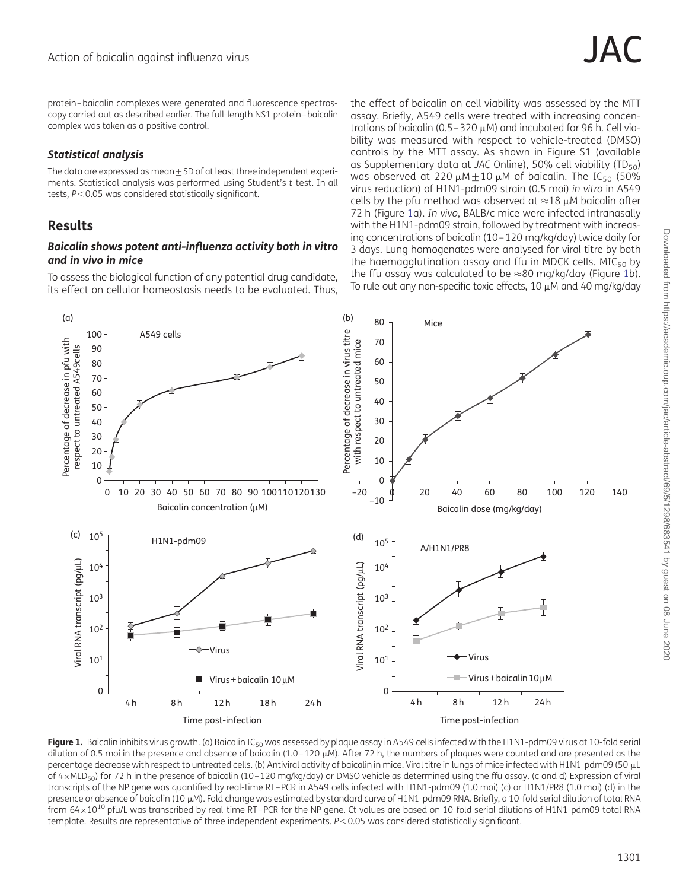<span id="page-3-0"></span>protein –baicalin complexes were generated and fluorescence spectroscopy carried out as described earlier. The full-length NS1 protein–baicalin complex was taken as a positive control.

### Statistical analysis

The data are expressed as mean  $\pm$  SD of at least three independent experiments. Statistical analysis was performed using Student's t-test. In all tests,  $P < 0.05$  was considered statistically significant.

# Results

#### Baicalin shows potent anti-influenza activity both in vitro and in vivo in mice

To assess the biological function of any potential drug candidate, its effect on cellular homeostasis needs to be evaluated. Thus, the effect of baicalin on cell viability was assessed by the MTT assay. Briefly, A549 cells were treated with increasing concentrations of baicalin (0.5 – 320  $\mu$ M) and incubated for 96 h. Cell viability was measured with respect to vehicle-treated (DMSO) controls by the MTT assay. As shown in [Figure S1 \(available](http://jac.oxfordjournals.org/lookup/suppl/doi:10.1093/jac/dkt534/-/DC1) [as Supplementary data at](http://jac.oxfordjournals.org/lookup/suppl/doi:10.1093/jac/dkt534/-/DC1) JAC Online), 50% cell viability ( $TD_{50}$ ) was observed at 220  $\mu$ M + 10  $\mu$ M of baicalin. The IC<sub>50</sub> (50% virus reduction) of H1N1-pdm09 strain (0.5 moi) in vitro in A549 cells by the pfu method was observed at  $\approx$ 18  $\mu$ M baicalin after 72 h (Figure 1a). In vivo, BALB/c mice were infected intranasally with the H1N1-pdm09 strain, followed by treatment with increasing concentrations of baicalin (10 –120 mg/kg/day) twice daily for 3 days. Lung homogenates were analysed for viral titre by both the haemagglutination assay and ffu in MDCK cells.  $MIC_{50}$  by the ffu assay was calculated to be  $\approx$ 80 mg/kg/day (Figure 1b). To rule out any non-specific toxic effects,  $10 \mu$ M and  $40 \text{ mg/kg/day}$ 



Figure 1. Baicalin inhibits virus growth. (a) Baicalin IC<sub>50</sub> was assessed by plaque assay in A549 cells infected with the H1N1-pdm09 virus at 10-fold serial dilution of 0.5 moi in the presence and absence of baicalin (1.0-120  $\mu$ M). After 72 h, the numbers of plaques were counted and are presented as the percentage decrease with respect to untreated cells. (b) Antiviral activity of baicalin in mice. Viral titre in lungs of mice infected with H1N1-pdm09 (50 mL of 4×MLD<sub>50</sub>) for 72 h in the presence of baicalin (10-120 mg/kg/day) or DMSO vehicle as determined using the ffu assay. (c and d) Expression of viral transcripts of the NP gene was quantified by real-time RT–PCR in A549 cells infected with H1N1-pdm09 (1.0 moi) (c) or H1N1/PR8 (1.0 moi) (d) in the presence or absence of baicalin (10 µM). Fold change was estimated by standard curve of H1N1-pdm09 RNA. Briefly, a 10-fold serial dilution of total RNA from  $64\times10^{10}$  pfu/L was transcribed by real-time RT-PCR for the NP gene. Ct values are based on 10-fold serial dilutions of H1N1-pdm09 total RNA template. Results are representative of three independent experiments. P<0.05 was considered statistically significant.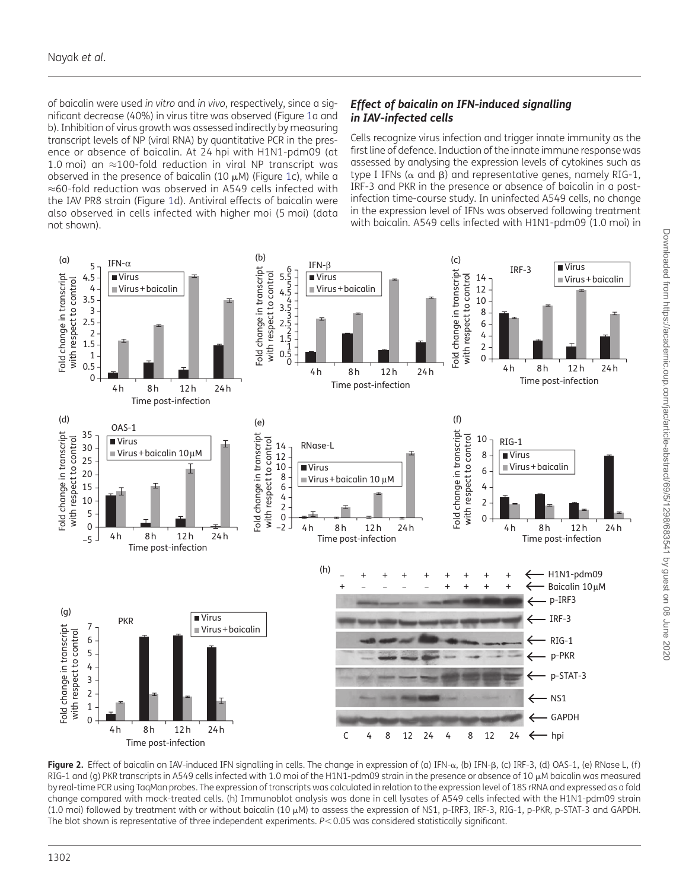<span id="page-4-0"></span>of baicalin were used in vitro and in vivo, respectively, since a significant decrease (40%) in virus titre was observed (Figure [1a](#page-3-0) and b). Inhibition of virus growth was assessed indirectly by measuring transcript levels of NP (viral RNA) by quantitative PCR in the presence or absence of baicalin. At 24 hpi with H1N1-pdm09 (at 1.0 moi) an ≈100-fold reduction in viral NP transcript was observed in the presence of baicalin ([1](#page-3-0)0  $\mu$ M) (Figure 1c), while a ≈60-fold reduction was observed in A549 cells infected with the IAV PR8 strain (Figure [1d](#page-3-0)). Antiviral effects of baicalin were also observed in cells infected with higher moi (5 moi) (data not shown).

# Effect of baicalin on IFN-induced signalling in IAV-infected cells

Cells recognize virus infection and trigger innate immunity as the first line of defence. Induction of the innate immune response was assessed by analysing the expression levels of cytokines such as type I IFNs ( $\alpha$  and  $\beta$ ) and representative genes, namely RIG-1, IRF-3 and PKR in the presence or absence of baicalin in a postinfection time-course study. In uninfected A549 cells, no change in the expression level of IFNs was observed following treatment with baicalin. A549 cells infected with H1N1-pdm09 (1.0 moi) in



Figure 2. Effect of baicalin on IAV-induced IFN signalling in cells. The change in expression of (a) IFN- $\alpha$ , (b) IFN- $\beta$ , (c) IRF-3, (d) OAS-1, (e) RNase L, (f) RIG-1 and (g) PKR transcripts in A549 cells infected with 1.0 moi of the H1N1-pdm09 strain in the presence or absence of 10  $\mu$ M baicalin was measured by real-time PCR using TaqMan probes. The expression of transcripts was calculated in relation to the expression level of 18S rRNA and expressed as a fold change compared with mock-treated cells. (h) Immunoblot analysis was done in cell lysates of A549 cells infected with the H1N1-pdm09 strain (1.0 moi) followed by treatment with or without baicalin (10 mM) to assess the expression of NS1, p-IRF3, IRF-3, RIG-1, p-PKR, p-STAT-3 and GAPDH. The blot shown is representative of three independent experiments. P<0.05 was considered statistically significant.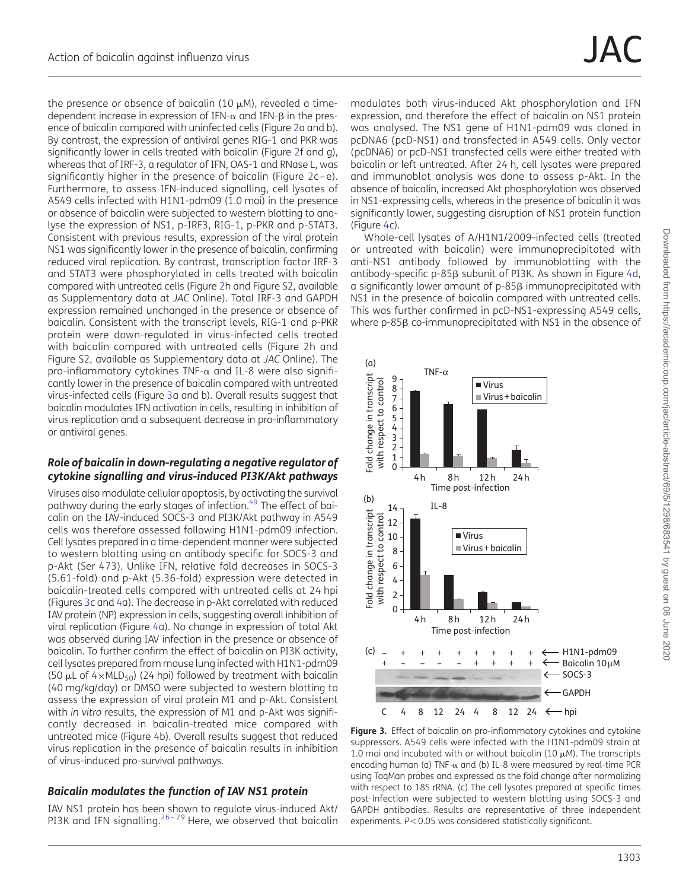<span id="page-5-0"></span>the presence or absence of baicalin (10  $\mu$ M), revealed a timedependent increase in expression of IFN- $\alpha$  and IFN- $\beta$  in the presence of baicalin compared with uninfected cells (Figure [2](#page-4-0)a and b). By contrast, the expression of antiviral genes RIG-1 and PKR was significantly lower in cells treated with baicalin (Figure [2f](#page-4-0) and g), whereas that of IRF-3, a regulator of IFN, OAS-1 and RNase L, was significantly higher in the presence of baicalin (Figure [2](#page-4-0)c-e). Furthermore, to assess IFN-induced signalling, cell lysates of A549 cells infected with H1N1-pdm09 (1.0 moi) in the presence or absence of baicalin were subjected to western blotting to analyse the expression of NS1, p-IRF3, RIG-1, p-PKR and p-STAT3. Consistent with previous results, expression of the viral protein NS1 was significantly lower in the presence of baicalin, confirming reduced viral replication. By contrast, transcription factor IRF-3 and STAT3 were phosphorylated in cells treated with baicalin compared with untreated cells (Figure [2](#page-4-0)h and [Figure S2, available](http://jac.oxfordjournals.org/lookup/suppl/doi:10.1093/jac/dkt534/-/DC1) [as Supplementary data at](http://jac.oxfordjournals.org/lookup/suppl/doi:10.1093/jac/dkt534/-/DC1) JAC Online). Total IRF-3 and GAPDH expression remained unchanged in the presence or absence of baicalin. Consistent with the transcript levels, RIG-1 and p-PKR protein were down-regulated in virus-infected cells treated with baicalin compared with untreated cells (Figure [2](#page-4-0)h and [Figure S2, available as Supplementary data at](http://jac.oxfordjournals.org/lookup/suppl/doi:10.1093/jac/dkt534/-/DC1) JAC Online). The pro-inflammatory cytokines TNF- $\alpha$  and IL-8 were also significantly lower in the presence of baicalin compared with untreated virus-infected cells (Figure 3a and b). Overall results suggest that baicalin modulates IFN activation in cells, resulting in inhibition of virus replication and a subsequent decrease in pro-inflammatory or antiviral genes.

#### Role of baicalin in down-regulating a negative regulator of cytokine signalling and virus-induced PI3K/Akt pathways

Viruses also modulate cellular apoptosis, by activating the survival pathway during the early stages of infection.<sup>49</sup> The effect of baicalin on the IAV-induced SOCS-3 and PI3K/Akt pathway in A549 cells was therefore assessed following H1N1-pdm09 infection. Cell lysates prepared in a time-dependent manner were subjected to western blotting using an antibody specific for SOCS-3 and p-Akt (Ser 473). Unlike IFN, relative fold decreases in SOCS-3 (5.61-fold) and p-Akt (5.36-fold) expression were detected in baicalin-treated cells compared with untreated cells at 24 hpi (Figures 3c and [4a](#page-6-0)). The decrease in p-Akt correlated with reduced IAV protein (NP) expression in cells, suggesting overall inhibition of viral replication (Figure [4](#page-6-0)a). No change in expression of total Akt was observed during IAV infection in the presence or absence of baicalin. To further confirm the effect of baicalin on PI3K activity, cell lysates prepared from mouse lung infected with H1N1-pdm09 (50  $\mu$ L of 4×MLD<sub>50</sub>) (24 hpi) followed by treatment with baicalin (40 mg/kg/day) or DMSO were subjected to western blotting to assess the expression of viral protein M1 and p-Akt. Consistent with in vitro results, the expression of M1 and p-Akt was significantly decreased in baicalin-treated mice compared with untreated mice (Figure [4](#page-6-0)b). Overall results suggest that reduced virus replication in the presence of baicalin results in inhibition of virus-induced pro-survival pathways.

### Baicalin modulates the function of IAV NS1 protein

IAV NS1 protein has been shown to regulate virus-induced Akt/ PI3K and IFN signalling. $26 - 29$  $26 - 29$  $26 - 29$  Here, we observed that baicalin

modulates both virus-induced Akt phosphorylation and IFN expression, and therefore the effect of baicalin on NS1 protein was analysed. The NS1 gene of H1N1-pdm09 was cloned in pcDNA6 (pcD-NS1) and transfected in A549 cells. Only vector (pcDNA6) or pcD-NS1 transfected cells were either treated with baicalin or left untreated. After 24 h, cell lysates were prepared and immunoblot analysis was done to assess p-Akt. In the absence of baicalin, increased Akt phosphorylation was observed in NS1-expressing cells, whereas in the presence of baicalin it was significantly lower, suggesting disruption of NS1 protein function (Figure [4](#page-6-0)c).

Whole-cell lysates of A/H1N1/2009-infected cells (treated or untreated with baicalin) were immunoprecipitated with anti-NS1 antibody followed by immunoblotting with the antibody-specific p-85ß subunit of PI3K. As shown in Figure [4](#page-6-0)d, a significantly lower amount of p-85<sub>β</sub> immunoprecipitated with NS1 in the presence of baicalin compared with untreated cells. This was further confirmed in pcD-NS1-expressing A549 cells, where  $p-85\beta$  co-immunoprecipitated with NS1 in the absence of



Figure 3. Effect of baicalin on pro-inflammatory cytokines and cytokine suppressors. A549 cells were infected with the H1N1-pdm09 strain at 1.0 moi and incubated with or without baicalin (10  $\mu$ M). The transcripts encoding human (a) TNF- $\alpha$  and (b) IL-8 were measured by real-time PCR using TaqMan probes and expressed as the fold change after normalizing with respect to 18S rRNA. (c) The cell lysates prepared at specific times post-infection were subjected to western blotting using SOCS-3 and GAPDH antibodies. Results are representative of three independent experiments.  $P < 0.05$  was considered statistically significant.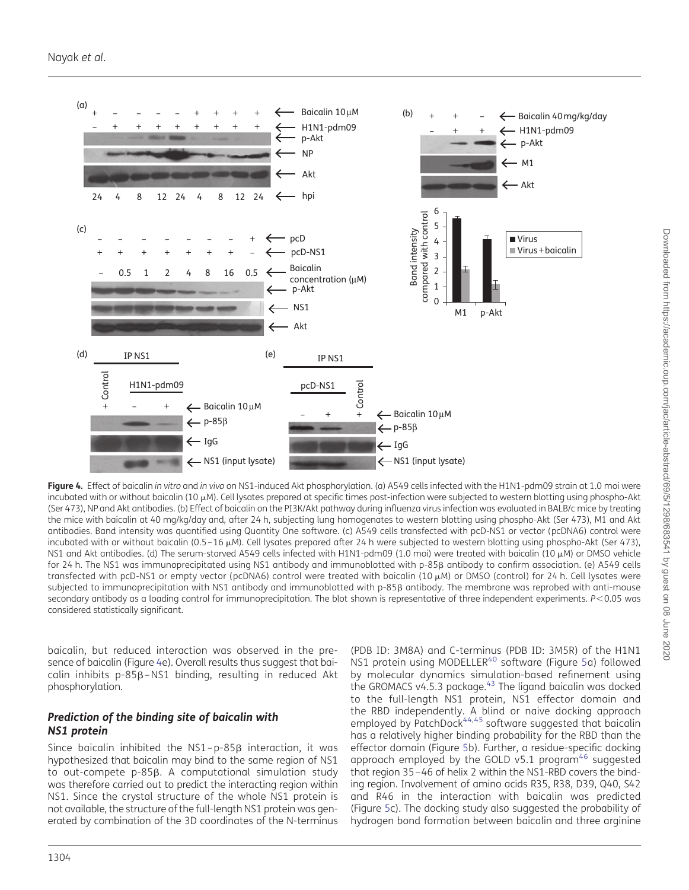<span id="page-6-0"></span>

Figure 4. Effect of baicalin in vitro and in vivo on NS1-induced Akt phosphorylation. (a) A549 cells infected with the H1N1-pdm09 strain at 1.0 moi were incubated with or without baicalin (10 µM). Cell lysates prepared at specific times post-infection were subjected to western blotting using phospho-Akt (Ser 473), NP and Akt antibodies. (b) Effect of baicalin on the PI3K/Akt pathway during influenza virus infection was evaluated in BALB/c mice by treating the mice with baicalin at 40 mg/kg/day and, after 24 h, subjecting lung homogenates to western blotting using phospho-Akt (Ser 473), M1 and Akt antibodies. Band intensity was quantified using Quantity One software. (c) A549 cells transfected with pcD-NS1 or vector (pcDNA6) control were incubated with or without baicalin (0.5 – 16  $\mu$ M). Cell lysates prepared after 24 h were subjected to western blotting using phospho-Akt (Ser 473), NS1 and Akt antibodies. (d) The serum-starved A549 cells infected with H1N1-pdm09 (1.0 moi) were treated with baicalin (10 µM) or DMSO vehicle for 24 h. The NS1 was immunoprecipitated using NS1 antibody and immunoblotted with p-85B antibody to confirm association. (e) A549 cells transfected with pcD-NS1 or empty vector (pcDNA6) control were treated with baicalin (10 µM) or DMSO (control) for 24 h. Cell lysates were subjected to immunoprecipitation with NS1 antibody and immunoblotted with p-85 $\beta$  antibody. The membrane was reprobed with anti-mouse secondary antibody as a loading control for immunoprecipitation. The blot shown is representative of three independent experiments. P<0.05 was considered statistically significant.

baicalin, but reduced interaction was observed in the presence of baicalin (Figure 4e). Overall results thus suggest that baicalin inhibits  $p-85\beta-NS1$  binding, resulting in reduced Akt phosphorylation.

#### Prediction of the binding site of baicalin with NS1 protein

Since baicalin inhibited the  $NS1-p-85\beta$  interaction, it was hypothesized that baicalin may bind to the same region of NS1 to out-compete p-85b. A computational simulation study was therefore carried out to predict the interacting region within NS1. Since the crystal structure of the whole NS1 protein is not available, the structure of the full-length NS1 protein was generated by combination of the 3D coordinates of the N-terminus

(PDB ID: 3M8A) and C-terminus (PDB ID: 3M5R) of the H1N1 NS1 protein using MODELLER<sup>[40](#page-11-0)</sup> software (Figure [5](#page-7-0)a) followed by molecular dynamics simulation-based refinement using the GROMACS v4.5.3 package.<sup>[43](#page-11-0)</sup> The ligand baicalin was docked to the full-length NS1 protein, NS1 effector domain and the RBD independently. A blind or naive docking approach employed by PatchDock<sup>[44,45](#page-11-0)</sup> software suggested that baicalin has a relatively higher binding probability for the RBD than the effector domain (Figure [5b](#page-7-0)). Further, a residue-specific docking approach employed by the GOLD v5.1 program<sup>[46](#page-11-0)</sup> suggested that region 35 –46 of helix 2 within the NS1-RBD covers the binding region. Involvement of amino acids R35, R38, D39, Q40, S42 and R46 in the interaction with baicalin was predicted (Figure [5](#page-7-0)c). The docking study also suggested the probability of hydrogen bond formation between baicalin and three arginine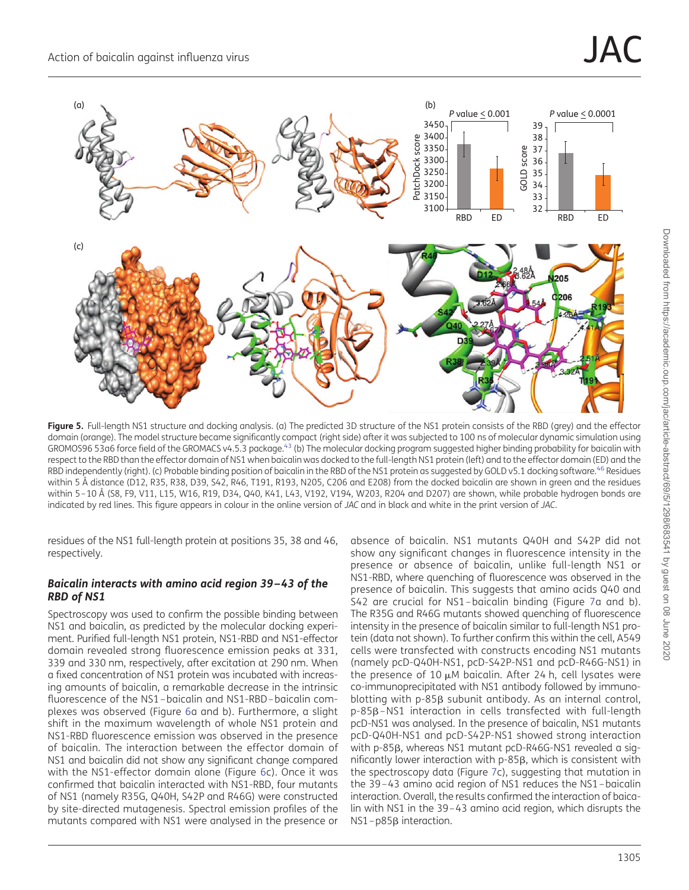<span id="page-7-0"></span>

Figure 5. Full-length NS1 structure and docking analysis. (a) The predicted 3D structure of the NS1 protein consists of the RBD (grey) and the effector domain (orange). The model structure became significantly compact (right side) after it was subjected to 100 ns of molecular dynamic simulation using GROMOS96 53a6 force field of the GROMACS v4.5.3 package.<sup>[43](#page-11-0)</sup> (b) The molecular docking program suggested higher binding probability for baicalin with respect to the RBD than the effector domain of NS1 when baicalin was docked to the full-length NS1 protein (left) and to the effector domain (ED) and the RBD independently (right). (c) Probable binding position of baicalin in the RBD of the NS1 protein as suggested by GOLD v5.1 docking software.<sup>[46](#page-11-0)</sup> Residues within 5 Å distance (D12, R35, R38, D39, S42, R46, T191, R193, N205, C206 and E208) from the docked baicalin are shown in green and the residues within 5-10 Å (S8, F9, V11, L15, W16, R19, D34, Q40, K41, L43, V192, V194, W203, R204 and D207) are shown, while probable hydrogen bonds are indicated by red lines. This figure appears in colour in the online version of JAC and in black and white in the print version of JAC.

residues of the NS1 full-length protein at positions 35, 38 and 46, respectively.

#### Baicalin interacts with amino acid region 39–43 of the RBD of NS1

Spectroscopy was used to confirm the possible binding between NS1 and baicalin, as predicted by the molecular docking experiment. Purified full-length NS1 protein, NS1-RBD and NS1-effector domain revealed strong fluorescence emission peaks at 331, 339 and 330 nm, respectively, after excitation at 290 nm. When a fixed concentration of NS1 protein was incubated with increasing amounts of baicalin, a remarkable decrease in the intrinsic fluorescence of the NS1 – baicalin and NS1-RBD – baicalin complexes was observed (Figure [6](#page-8-0)a and b). Furthermore, a slight shift in the maximum wavelength of whole NS1 protein and NS1-RBD fluorescence emission was observed in the presence of baicalin. The interaction between the effector domain of NS1 and baicalin did not show any significant change compared with the NS1-effector domain alone (Figure [6c](#page-8-0)). Once it was confirmed that baicalin interacted with NS1-RBD, four mutants of NS1 (namely R35G, Q40H, S42P and R46G) were constructed by site-directed mutagenesis. Spectral emission profiles of the mutants compared with NS1 were analysed in the presence or absence of baicalin. NS1 mutants Q40H and S42P did not show any significant changes in fluorescence intensity in the presence or absence of baicalin, unlike full-length NS1 or NS1-RBD, where quenching of fluorescence was observed in the presence of baicalin. This suggests that amino acids Q40 and S42 are crucial for NS1 – baicalin binding (Figure [7a](#page-9-0) and b). The R35G and R46G mutants showed quenching of fluorescence intensity in the presence of baicalin similar to full-length NS1 protein (data not shown). To further confirm this within the cell, A549 cells were transfected with constructs encoding NS1 mutants (namely pcD-Q40H-NS1, pcD-S42P-NS1 and pcD-R46G-NS1) in the presence of 10  $\mu$ M baicalin. After 24 h, cell lysates were co-immunoprecipitated with NS1 antibody followed by immunoblotting with  $p-85\beta$  subunit antibody. As an internal control, p-85b–NS1 interaction in cells transfected with full-length pcD-NS1 was analysed. In the presence of baicalin, NS1 mutants pcD-Q40H-NS1 and pcD-S42P-NS1 showed strong interaction with p-85ß, whereas NS1 mutant pcD-R46G-NS1 revealed a significantly lower interaction with p-85ß, which is consistent with the spectroscopy data (Figure [7](#page-9-0)c), suggesting that mutation in the 39 –43 amino acid region of NS1 reduces the NS1 – baicalin interaction. Overall, the results confirmed the interaction of baicalin with NS1 in the 39 –43 amino acid region, which disrupts the  $NS1-p85\beta$  interaction.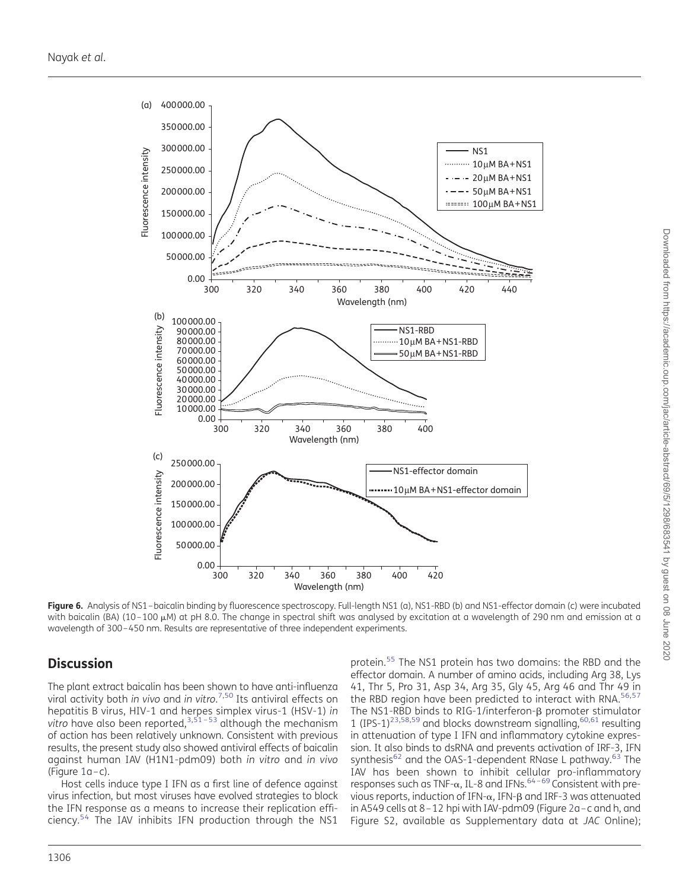<span id="page-8-0"></span>

Downloaded from https://academic.oup.com/jac/article-abstract/69/5/1298/683541 by guest on 08 June 2020 Downloaded from https://academic.oup.com/jac/article-abstract/69/5/1298/683541 by guest on 08 June 2020

Figure 6. Analysis of NS1-baicalin binding by fluorescence spectroscopy. Full-length NS1 (a), NS1-RBD (b) and NS1-effector domain (c) were incubated with baicalin (BA) (10-100 µM) at pH 8.0. The change in spectral shift was analysed by excitation at a wavelength of 290 nm and emission at a wavelength of 300–450 nm. Results are representative of three independent experiments.

# **Discussion**

The plant extract baicalin has been shown to have anti-influenza viral activity both in vivo and in vitro. [7,](#page-10-0)[50](#page-11-0) Its antiviral effects on hepatitis B virus, HIV-1 and herpes simplex virus-1 (HSV-1) in vitro have also been reported,  $3,51 - 53$  $3,51 - 53$  $3,51 - 53$  $3,51 - 53$  $3,51 - 53$  although the mechanism of action has been relatively unknown. Consistent with previous results, the present study also showed antiviral effects of baicalin against human IAV (H1N1-pdm09) both in vitro and in vivo (Figure [1a](#page-3-0)–c).

Host cells induce type I IFN as a first line of defence against virus infection, but most viruses have evolved strategies to block the IFN response as a means to increase their replication efficiency.[54](#page-11-0) The IAV inhibits IFN production through the NS1

protein.<sup>[55](#page-11-0)</sup> The NS1 protein has two domains: the RBD and the effector domain. A number of amino acids, including Arg 38, Lys 41, Thr 5, Pro 31, Asp 34, Arg 35, Gly 45, Arg 46 and Thr 49 in the RBD region have been predicted to interact with RNA.<sup>[56](#page-11-0),[57](#page-11-0)</sup> The NS1-RBD binds to RIG-1/interferon- $\beta$  promoter stimulator 1 (IPS-1)<sup>[23,58](#page-11-0),[59](#page-11-0)</sup> and blocks downstream signalling,  $60,61$  resulting in attenuation of type I IFN and inflammatory cytokine expression. It also binds to dsRNA and prevents activation of IRF-3, IFN synthesis<sup>[62](#page-12-0)</sup> and the OAS-1-dependent RNase L pathway.<sup>[63](#page-12-0)</sup> The IAV has been shown to inhibit cellular pro-inflammatory responses such as TNF- $\alpha$ , IL-8 and IFNs.<sup>[64](#page-12-0)-[69](#page-12-0)</sup> Consistent with previous reports, induction of IFN- $\alpha$ , IFN- $\beta$  and IRF-3 was attenuated in A549 cells at 8 –12 hpi with IAV-pdm09 (Figure [2a](#page-4-0)–c and h, and [Figure S2, available as Supplementary data at](http://jac.oxfordjournals.org/lookup/suppl/doi:10.1093/jac/dkt534/-/DC1) JAC Online);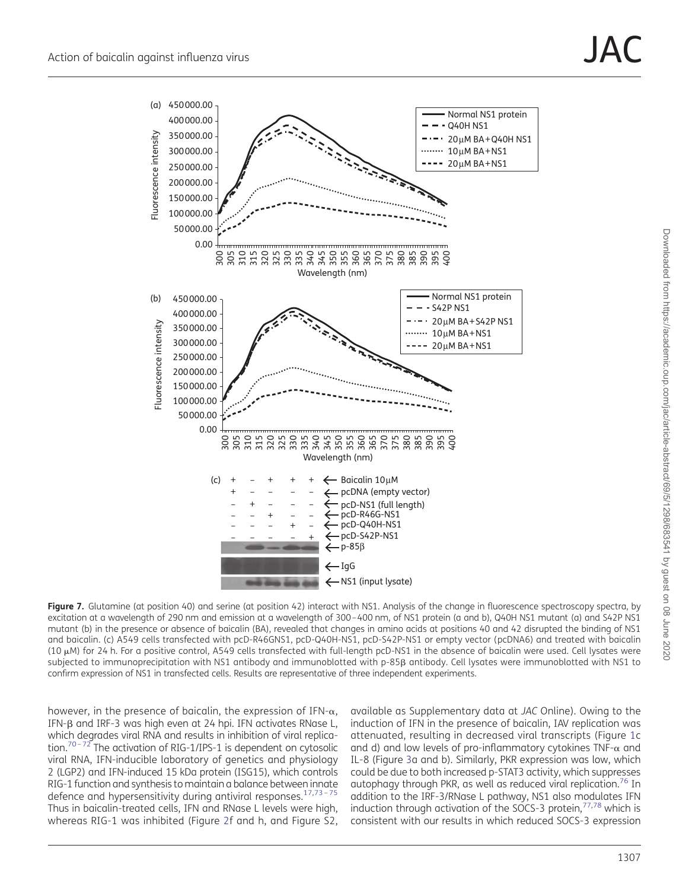<span id="page-9-0"></span>

Figure 7. Glutamine (at position 40) and serine (at position 42) interact with NS1. Analysis of the change in fluorescence spectroscopy spectra, by excitation at a wavelength of 290 nm and emission at a wavelength of 300–400 nm, of NS1 protein (a and b), Q40H NS1 mutant (a) and S42P NS1 mutant (b) in the presence or absence of baicalin (BA), revealed that changes in amino acids at positions 40 and 42 disrupted the binding of NS1 and baicalin. (c) A549 cells transfected with pcD-R46GNS1, pcD-Q40H-NS1, pcD-S42P-NS1 or empty vector (pcDNA6) and treated with baicalin (10 mM) for 24 h. For a positive control, A549 cells transfected with full-length pcD-NS1 in the absence of baicalin were used. Cell lysates were subjected to immunoprecipitation with NS1 antibody and immunoblotted with p-85B antibody. Cell lysates were immunoblotted with NS1 to confirm expression of NS1 in transfected cells. Results are representative of three independent experiments.

however, in the presence of baicalin, the expression of IFN- $\alpha$ , IFN-B and IRF-3 was high even at 24 hpi. IFN activates RNase L, which degrades viral RNA and results in inhibition of viral replica-tion.<sup>[70](#page-12-0)-[72](#page-12-0)</sup> The activation of RIG-1/IPS-1 is dependent on cytosolic viral RNA, IFN-inducible laboratory of genetics and physiology 2 (LGP2) and IFN-induced 15 kDa protein (ISG15), which controls RIG-1 function and synthesis to maintain a balance between innate defence and hypersensitivity during antiviral responses.  $17,73 - 75$  $17,73 - 75$  $17,73 - 75$  $17,73 - 75$ Thus in baicalin-treated cells, IFN and RNase L levels were high, whereas RIG-1 was inhibited (Figure [2](#page-4-0)f and h, and [Figure S2,](http://jac.oxfordjournals.org/lookup/suppl/doi:10.1093/jac/dkt534/-/DC1)

[available as Supplementary data at](http://jac.oxfordjournals.org/lookup/suppl/doi:10.1093/jac/dkt534/-/DC1) JAC Online). Owing to the induction of IFN in the presence of baicalin, IAV replication was attenuated, resulting in decreased viral transcripts (Figure [1](#page-3-0)c and d) and low levels of pro-inflammatory cytokines TNF- $\alpha$  and IL-8 (Figure [3](#page-5-0)a and b). Similarly, PKR expression was low, which could be due to both increased p-STAT3 activity, which suppresses autophagy through PKR, as well as reduced viral replication.<sup>[76](#page-12-0)</sup> In addition to the IRF-3/RNase L pathway, NS1 also modulates IFN induction through activation of the SOCS-3 protein, $77,78$  which is consistent with our results in which reduced SOCS-3 expression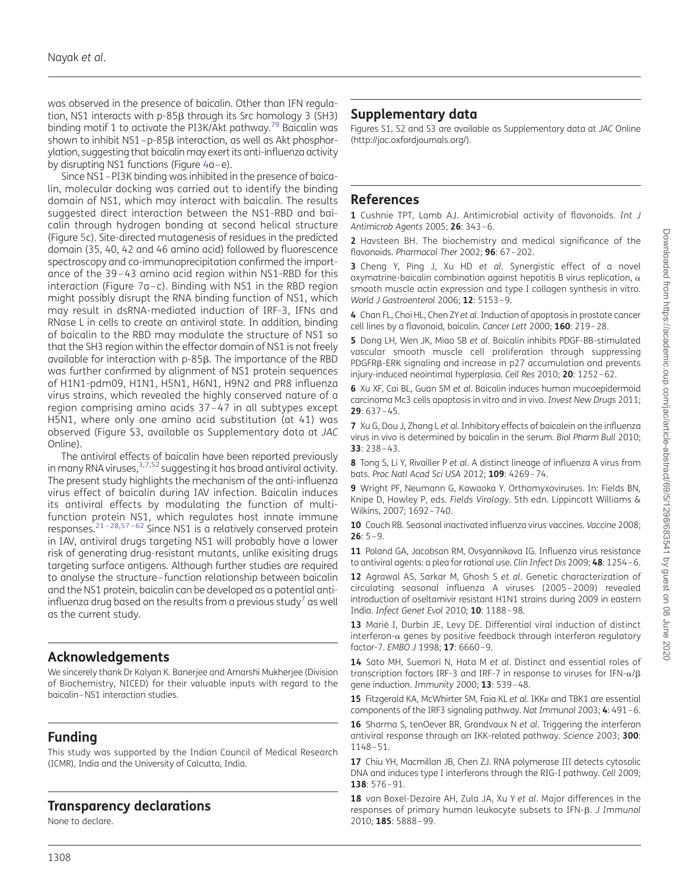<span id="page-10-0"></span>was observed in the presence of baicalin. Other than IFN regulation, NS1 interacts with p-85<sub>B</sub> through its Src homology 3 (SH3) binding motif 1 to activate the PI3K/Akt pathway.<sup>[79](#page-12-0)</sup> Baicalin was shown to inhibit  $NS1-p-85\beta$  interaction, as well as Akt phosphorylation, suggesting that baicalin may exert its anti-influenza activity by disrupting NS1 functions (Figure [4a](#page-6-0)–e).

Since NS1–PI3K binding was inhibited in the presence of baicalin, molecular docking was carried out to identify the binding domain of NS1, which may interact with baicalin. The results suggested direct interaction between the NS1-RBD and baicalin through hydrogen bonding at second helical structure (Figure [5c](#page-7-0)). Site-directed mutagenesis of residues in the predicted domain (35, 40, 42 and 46 amino acid) followed by fluorescence spectroscopy and co-immunoprecipitation confirmed the importance of the 39 – 43 amino acid region within NS1-RBD for this interaction (Figure [7a](#page-9-0)-c). Binding with NS1 in the RBD region might possibly disrupt the RNA binding function of NS1, which may result in dsRNA-mediated induction of IRF-3, IFNs and RNase L in cells to create an antiviral state. In addition, binding of baicalin to the RBD may modulate the structure of NS1 so that the SH3 region within the effector domain of NS1 is not freely available for interaction with p-85b. The importance of the RBD was further confirmed by alignment of NS1 protein sequences of H1N1-pdm09, H1N1, H5N1, H6N1, H9N2 and PR8 influenza virus strains, which revealed the highly conserved nature of a region comprising amino acids 37 – 47 in all subtypes except H5N1, where only one amino acid substitution (at 41) was observed ([Figure S3, available as Supplementary data at](http://jac.oxfordjournals.org/lookup/suppl/doi:10.1093/jac/dkt534/-/DC1) JAC [Online\)](http://jac.oxfordjournals.org/lookup/suppl/doi:10.1093/jac/dkt534/-/DC1).

The antiviral effects of baicalin have been reported previously in many RNA viruses,  $3,7,52$  $3,7,52$  suggesting it has broad antiviral activity. The present study highlights the mechanism of the anti-influenza virus effect of baicalin during IAV infection. Baicalin induces its antiviral effects by modulating the function of multifunction protein NS1, which regulates host innate immune responses.<sup>[21](#page-11-0)–[28,57](#page-11-0)–[62](#page-12-0)</sup> Since NS1 is a relatively conserved protein in IAV, antiviral drugs targeting NS1 will probably have a lower risk of generating drug-resistant mutants, unlike exisiting drugs targeting surface antigens. Although further studies are required to analyse the structure – function relationship between baicalin and the NS1 protein, baicalin can be developed as a potential antiinfluenza drug based on the results from a previous study<sup>7</sup> as well as the current study.

# Acknowledgements

We sincerely thank Dr Kalyan K. Banerjee and Amarshi Mukherjee (Division of Biochemistry, NICED) for their valuable inputs with regard to the baicalin–NS1 interaction studies.

# Funding

This study was supported by the Indian Council of Medical Research (ICMR), India and the University of Calcutta, India.

# Transparency declarations

None to declare.

# Supplementary data

[Figures S1, S2 and S3 are available as Supplementary data at](http://jac.oxfordjournals.org/lookup/suppl/doi:10.1093/jac/dkt534/-/DC1) JAC Online [\(http://jac.oxfordjournals.org/\).](http://jac.oxfordjournals.org/lookup/suppl/doi:10.1093/jac/dkt534/-/DC1)

# References

1 Cushnie TPT, Lamb AJ. Antimicrobial activity of flavonoids. Int J Antimicrob Agents 2005; 26: 343–6.

2 Havsteen BH. The biochemistry and medical significance of the flavonoids. Pharmacol Ther 2002; 96: 67-202.

3 Cheng Y, Ping J, Xu HD et al. Synergistic effect of a novel oxymatrine-baicalin combination against hepatitis B virus replication,  $\alpha$ smooth muscle actin expression and type I collagen synthesis in vitro. World J Gastroenterol 2006; **12**: 5153-9.

4 Chan FL, Choi HL, Chen ZYet al. Induction of apoptosis in prostate cancer cell lines by a flavonoid, baicalin. Cancer Lett 2000; 160: 219-28.

5 Dong LH, Wen JK, Migo SB et al. Baicalin inhibits PDGF-BB-stimulated vascular smooth muscle cell proliferation through suppressing PDGFRB-ERK signaling and increase in p27 accumulation and prevents injury-induced neointimal hyperplasia. Cell Res 2010; 20: 1252 –62.

6 Xu XF, Cai BL, Guan SM et al. Baicalin induces human mucoepidermoid carcinoma Mc3 cells apoptosis in vitro and in vivo. Invest New Drugs 2011; 29: 637–45.

7 Xu G, Dou J, Zhang L et al. Inhibitory effects of baicalein on the influenza virus in vivo is determined by baicalin in the serum. Biol Pharm Bull 2010; 33: 238–43.

8 Tong S, Li Y, Rivailler P et al. A distinct lineage of influenza A virus from bats. Proc Natl Acad Sci USA 2012; 109: 4269–74.

9 Wright PF, Neumann G, Kawaoka Y. Orthomyxoviruses. In: Fields BN, Knipe D, Howley P, eds. Fields Virology. 5th edn. Lippincott Williams & Wilkins, 2007; 1692 –740.

10 Couch RB. Seasonal inactivated influenza virus vaccines. Vaccine 2008:  $26: 5 - 9.$ 

11 Poland GA, Jacobson RM, Ovsyannikova IG. Influenza virus resistance to antiviral agents: a plea for rational use. Clin Infect Dis 2009; 48: 1254-6.

12 Agrawal AS, Sarkar M, Ghosh S et al. Genetic characterization of circulating seasonal influenza A viruses (2005 – 2009) revealed introduction of oseltamivir resistant H1N1 strains during 2009 in eastern India. Infect Genet Evol 2010; 10: 1188–98.

13 Marié I, Durbin JE, Levy DE. Differential viral induction of distinct interferon- $\alpha$  genes by positive feedback through interferon regulatory factor-7. EMBO J 1998; 17: 6660–9.

14 Sato MH, Suemori N, Hata M et al. Distinct and essential roles of transcription factors IRF-3 and IRF-7 in response to viruses for IFN- $\alpha/\beta$ gene induction. Immunity 2000; 13: 539-48.

15 Fitzgerald KA, McWhirter SM, Faia KL et al. IKK<sub>8</sub> and TBK1 are essential components of the IRF3 signaling pathway. Nat Immunol 2003; 4: 491–6.

16 Sharma S, tenOever BR, Grandvaux N et al. Triggering the interferon antiviral response through an IKK-related pathway. Science 2003; 300: 1148–51.

17 Chiu YH, Macmillan JB, Chen ZJ. RNA polymerase III detects cytosolic DNA and induces type I interferons through the RIG-I pathway. Cell 2009; 138: 576–91.

18 van Boxel-Dezaire AH, Zula JA, Xu Y et al. Major differences in the responses of primary human leukocyte subsets to IFN-B. J Immunol 2010; 185: 5888–99.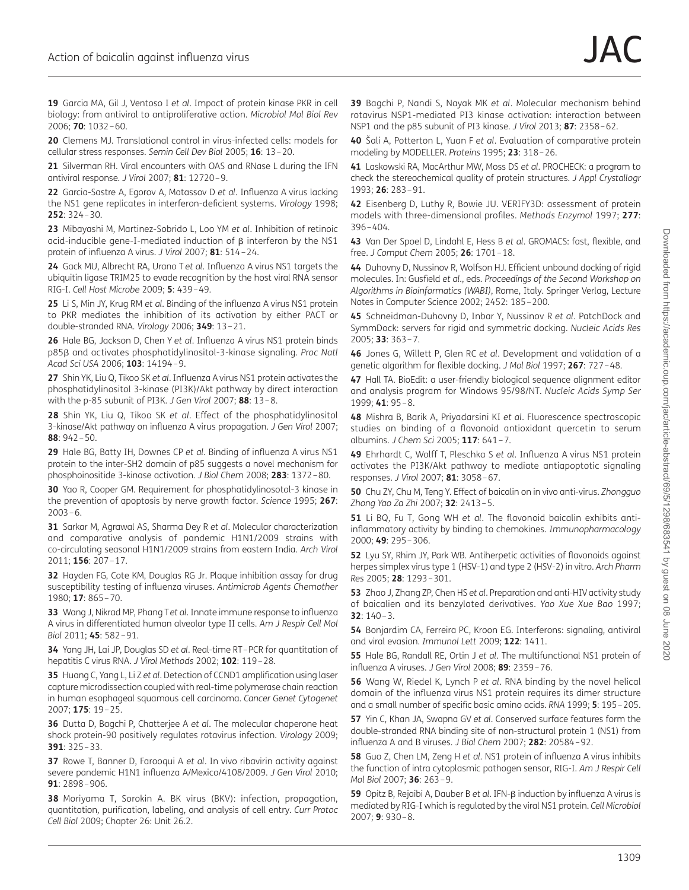<span id="page-11-0"></span>19 Garcia MA, Gil J, Ventoso I et al. Impact of protein kinase PKR in cell biology: from antiviral to antiproliferative action. Microbiol Mol Biol Rev 2006; 70: 1032–60.

20 Clemens MJ. Translational control in virus-infected cells: models for cellular stress responses. Semin Cell Dev Biol 2005; 16: 13–20.

21 Silverman RH. Viral encounters with OAS and RNase L during the IFN antiviral response. J Virol 2007; 81: 12720–9.

22 Garcia-Sastre A, Egorov A, Matassov D et al. Influenza A virus lacking the NS1 gene replicates in interferon-deficient systems. Virology 1998; 252: 324–30.

23 Mibayashi M, Martinez-Sobrido L, Loo YM et al. Inhibition of retinoic acid-inducible gene-I-mediated induction of  $\beta$  interferon by the NS1 protein of influenza A virus. J Virol 2007; 81: 514–24.

24 Gack MU, Albrecht RA, Urano T et al. Influenza A virus NS1 targets the ubiquitin ligase TRIM25 to evade recognition by the host viral RNA sensor RIG-I. Cell Host Microbe 2009; 5: 439–49.

25 Li S, Min JY, Krug RM et al. Binding of the influenza A virus NS1 protein to PKR mediates the inhibition of its activation by either PACT or double-stranded RNA. Virology 2006; 349: 13–21.

26 Hale BG, Jackson D, Chen Y et al. Influenza A virus NS1 protein binds p85<sub>β</sub> and activates phosphatidylinositol-3-kinase signaling. Proc Natl Acad Sci USA 2006; 103: 14194-9.

27 Shin YK, Liu Q, Tikoo SK et al. Influenza A virus NS1 protein activates the phosphatidylinositol 3-kinase (PI3K)/Akt pathway by direct interaction with the p-85 subunit of PI3K. J Gen Virol 2007; 88:  $13-8$ .

28 Shin YK, Liu Q, Tikoo SK et al. Effect of the phosphatidylinositol 3-kinase/Akt pathway on influenza A virus propagation. J Gen Virol 2007; 88: 942–50.

29 Hale BG, Batty IH, Downes CP et al. Binding of influenza A virus NS1 protein to the inter-SH2 domain of p85 suggests a novel mechanism for phosphoinositide 3-kinase activation. J Biol Chem 2008; 283: 1372 –80.

30 Yao R, Cooper GM. Requirement for phosphatidylinosotol-3 kinase in the prevention of apoptosis by nerve growth factor. Science 1995; 267: 2003–6.

31 Sarkar M, Agrawal AS, Sharma Dey R et al. Molecular characterization and comparative analysis of pandemic H1N1/2009 strains with co-circulating seasonal H1N1/2009 strains from eastern India. Arch Virol 2011; 156: 207–17.

32 Hayden FG, Cote KM, Douglas RG Jr. Plaque inhibition assay for drug susceptibility testing of influenza viruses. Antimicrob Agents Chemother 1980; 17: 865–70.

33 Wang J, Nikrad MP, Phang Tet al. Innate immune response to influenza A virus in differentiated human alveolar type II cells. Am J Respir Cell Mol Biol 2011; 45: 582–91.

34 Yang JH, Lai JP, Douglas SD et al. Real-time RT-PCR for quantitation of hepatitis C virus RNA. J Virol Methods 2002; 102: 119-28.

35 Huang C, Yang L, Li Z et al. Detection of CCND1 amplification using laser capture microdissection coupled with real-time polymerase chain reaction in human esophageal squamous cell carcinoma. Cancer Genet Cytogenet 2007; 175: 19–25.

36 Dutta D, Bagchi P, Chatterjee A et al. The molecular chaperone heat shock protein-90 positively regulates rotavirus infection. Virology 2009; 391: 325–33.

37 Rowe T, Banner D, Farooqui A et al. In vivo ribavirin activity against severe pandemic H1N1 influenza A/Mexico/4108/2009. J Gen Virol 2010; 91: 2898 –906.

38 Moriyama T, Sorokin A. BK virus (BKV): infection, propagation, quantitation, purification, labeling, and analysis of cell entry. Curr Protoc Cell Biol 2009; Chapter 26: Unit 26.2.

39 Bagchi P, Nandi S, Nayak MK et al. Molecular mechanism behind rotavirus NSP1-mediated PI3 kinase activation: interaction between NSP1 and the p85 subunit of PI3 kinase. J Virol 2013; 87: 2358–62.

40 Šali A, Potterton L, Yuan F et al. Evaluation of comparative protein modeling by MODELLER. Proteins 1995; 23: 318–26.

41 Laskowski RA, MacArthur MW, Moss DS et al. PROCHECK: a program to check the stereochemical quality of protein structures. J Appl Crystallogr 1993; 26: 283–91.

42 Eisenberg D, Luthy R, Bowie JU. VERIFY3D: assessment of protein models with three-dimensional profiles. Methods Enzymol 1997; 277: 396–404.

43 Van Der Spoel D, Lindahl E, Hess B et al. GROMACS: fast, flexible, and free. J Comput Chem 2005; 26: 1701 –18.

44 Duhovny D, Nussinov R, Wolfson HJ. Efficient unbound docking of rigid molecules. In: Gusfield et al., eds. Proceedings of the Second Workshop on Algorithms in Bioinformatics (WABI), Rome, Italy. Springer Verlag, Lecture Notes in Computer Science 2002; 2452: 185–200.

45 Schneidman-Duhovny D, Inbar Y, Nussinov R et al. PatchDock and SymmDock: servers for rigid and symmetric docking. Nucleic Acids Res 2005; 33: 363–7.

46 Jones G, Willett P, Glen RC et al. Development and validation of a genetic algorithm for flexible docking. J Mol Biol 1997; 267: 727–48.

47 Hall TA. BioEdit: a user-friendly biological sequence alignment editor and analysis program for Windows 95/98/NT. Nucleic Acids Symp Ser 1999; 41: 95–8.

48 Mishra B, Barik A, Priyadarsini KI et al. Fluorescence spectroscopic studies on binding of a flavonoid antioxidant quercetin to serum albumins. J Chem Sci 2005; 117: 641-7.

49 Ehrhardt C, Wolff T, Pleschka S et al. Influenza A virus NS1 protein activates the PI3K/Akt pathway to mediate antiapoptotic signaling responses. J Virol 2007; 81: 3058 –67.

50 Chu ZY, Chu M, Teng Y. Effect of baicalin on in vivo anti-virus. Zhongguo Zhong Yao Za Zhi 2007; 32: 2413-5.

51 Li BQ, Fu T, Gong WH et al. The flavonoid baicalin exhibits antiinflammatory activity by binding to chemokines. Immunopharmacology 2000; 49: 295–306.

52 Lyu SY, Rhim JY, Park WB. Antiherpetic activities of flavonoids against herpes simplex virus type 1 (HSV-1) and type 2 (HSV-2) in vitro. Arch Pharm Res 2005; 28: 1293 –301.

53 Zhao J, Zhang ZP, Chen HS et al. Preparation and anti-HIV activity study of baicalien and its benzylated derivatives. Yao Xue Xue Bao 1997; 32: 140–3.

54 Bonjardim CA, Ferreira PC, Kroon EG. Interferons: signaling, antiviral and viral evasion. Immunol Lett 2009; 122: 1411.

55 Hale BG, Randall RE, Ortin J et al. The multifunctional NS1 protein of influenza A viruses. J Gen Virol 2008; 89: 2359–76.

56 Wang W, Riedel K, Lynch P et al. RNA binding by the novel helical domain of the influenza virus NS1 protein requires its dimer structure and a small number of specific basic amino acids. RNA 1999; 5: 195–205.

57 Yin C, Khan JA, Swapna GV et al. Conserved surface features form the double-stranded RNA binding site of non-structural protein 1 (NS1) from influenza A and B viruses. J Biol Chem 2007; 282: 20584–92.

58 Guo Z, Chen LM, Zeng H et al. NS1 protein of influenza A virus inhibits the function of intra cytoplasmic pathogen sensor, RIG-I. Am J Respir Cell Mol Biol 2007; 36: 263–9.

59 Opitz B, Rejaibi A, Dauber B et al. IFN- $\beta$  induction by influenza A virus is mediated by RIG-I which is regulated by the viral NS1 protein. Cell Microbiol 2007; 9: 930–8.